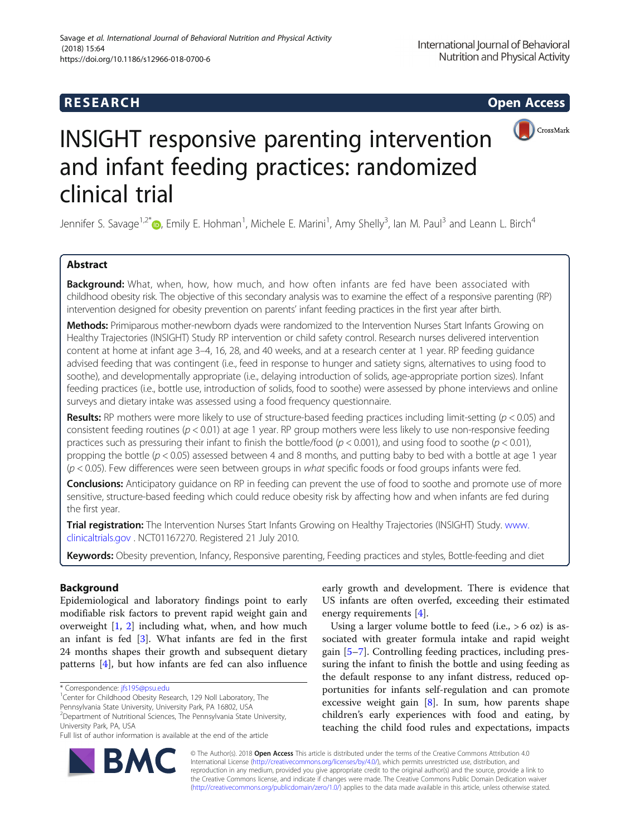# **RESEARCH CHEAR CHEAR CHEAR CHEAR CHEAR CHEAR CHEAR CHEAR CHEAR CHEAR CHEAR CHEAR CHEAR CHEAR CHEAR CHEAR CHEAR**



# INSIGHT responsive parenting intervention and infant feeding practices: randomized clinical trial

Jennifer S. Savage<sup>1,2[\\*](http://orcid.org/0000-0002-2912-8687)</sup>®, Emily E. Hohman<sup>1</sup>, Michele E. Marini<sup>1</sup>, Amy Shelly<sup>3</sup>, Ian M. Paul<sup>3</sup> and Leann L. Birch<sup>4</sup>

# Abstract

Background: What, when, how, how much, and how often infants are fed have been associated with childhood obesity risk. The objective of this secondary analysis was to examine the effect of a responsive parenting (RP) intervention designed for obesity prevention on parents' infant feeding practices in the first year after birth.

Methods: Primiparous mother-newborn dyads were randomized to the Intervention Nurses Start Infants Growing on Healthy Trajectories (INSIGHT) Study RP intervention or child safety control. Research nurses delivered intervention content at home at infant age 3–4, 16, 28, and 40 weeks, and at a research center at 1 year. RP feeding guidance advised feeding that was contingent (i.e., feed in response to hunger and satiety signs, alternatives to using food to soothe), and developmentally appropriate (i.e., delaying introduction of solids, age-appropriate portion sizes). Infant feeding practices (i.e., bottle use, introduction of solids, food to soothe) were assessed by phone interviews and online surveys and dietary intake was assessed using a food frequency questionnaire.

**Results:** RP mothers were more likely to use of structure-based feeding practices including limit-setting ( $p < 0.05$ ) and consistent feeding routines ( $p < 0.01$ ) at age 1 year. RP group mothers were less likely to use non-responsive feeding practices such as pressuring their infant to finish the bottle/food ( $p < 0.001$ ), and using food to soothe ( $p < 0.01$ ), propping the bottle ( $p < 0.05$ ) assessed between 4 and 8 months, and putting baby to bed with a bottle at age 1 year  $(p < 0.05)$ . Few differences were seen between groups in what specific foods or food groups infants were fed.

Conclusions: Anticipatory quidance on RP in feeding can prevent the use of food to soothe and promote use of more sensitive, structure-based feeding which could reduce obesity risk by affecting how and when infants are fed during the first year.

Trial registration: The Intervention Nurses Start Infants Growing on Healthy Trajectories (INSIGHT) Study. [www.](http://www.clinicaltrials.gov) [clinicaltrials.gov](http://www.clinicaltrials.gov) . NCT01167270. Registered 21 July 2010.

Keywords: Obesity prevention, Infancy, Responsive parenting, Feeding practices and styles, Bottle-feeding and diet

# Background

Epidemiological and laboratory findings point to early modifiable risk factors to prevent rapid weight gain and overweight  $\begin{bmatrix} 1, 2 \end{bmatrix}$  $\begin{bmatrix} 1, 2 \end{bmatrix}$  $\begin{bmatrix} 1, 2 \end{bmatrix}$  including what, when, and how much an infant is fed [[3](#page-9-0)]. What infants are fed in the first 24 months shapes their growth and subsequent dietary patterns [\[4](#page-9-0)], but how infants are fed can also influence

Pennsylvania State University, University Park, PA 16802, USA

early growth and development. There is evidence that US infants are often overfed, exceeding their estimated energy requirements [\[4\]](#page-9-0).

Using a larger volume bottle to feed (i.e.,  $> 6$  oz) is associated with greater formula intake and rapid weight gain [\[5](#page-9-0)–[7\]](#page-9-0). Controlling feeding practices, including pressuring the infant to finish the bottle and using feeding as the default response to any infant distress, reduced opportunities for infants self-regulation and can promote excessive weight gain [\[8](#page-9-0)]. In sum, how parents shape children's early experiences with food and eating, by teaching the child food rules and expectations, impacts



© The Author(s). 2018 Open Access This article is distributed under the terms of the Creative Commons Attribution 4.0 International License [\(http://creativecommons.org/licenses/by/4.0/](http://creativecommons.org/licenses/by/4.0/)), which permits unrestricted use, distribution, and reproduction in any medium, provided you give appropriate credit to the original author(s) and the source, provide a link to the Creative Commons license, and indicate if changes were made. The Creative Commons Public Domain Dedication waiver [\(http://creativecommons.org/publicdomain/zero/1.0/](http://creativecommons.org/publicdomain/zero/1.0/)) applies to the data made available in this article, unless otherwise stated.

<sup>\*</sup> Correspondence: [jfs195@psu.edu](mailto:jfs195@psu.edu) <sup>1</sup>

<sup>&</sup>lt;sup>1</sup>Center for Childhood Obesity Research, 129 Noll Laboratory, The

<sup>&</sup>lt;sup>2</sup> Department of Nutritional Sciences, The Pennsylvania State University, University Park, PA, USA

Full list of author information is available at the end of the article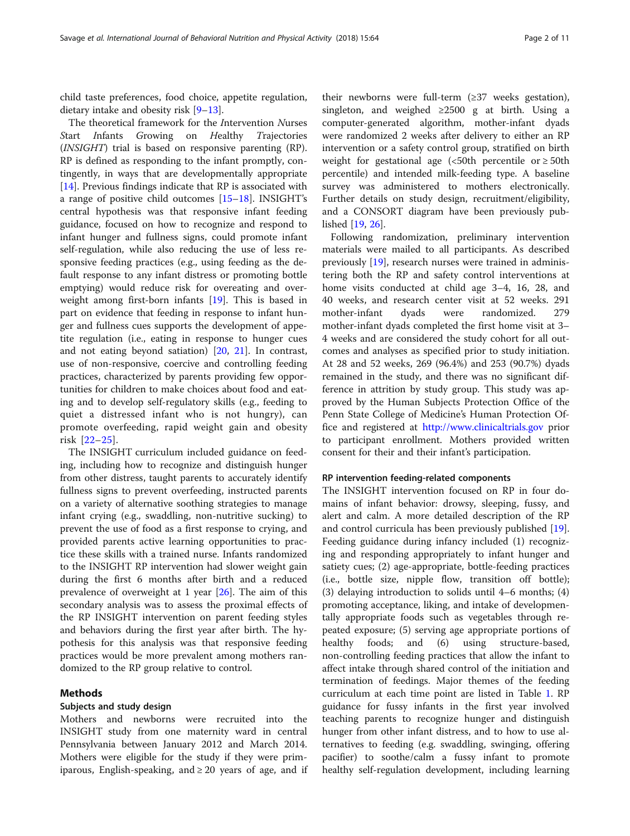child taste preferences, food choice, appetite regulation, dietary intake and obesity risk [[9](#page-9-0)–[13](#page-9-0)].

The theoretical framework for the Intervention Nurses Start Infants Growing on Healthy Trajectories (INSIGHT) trial is based on responsive parenting (RP). RP is defined as responding to the infant promptly, contingently, in ways that are developmentally appropriate [[14\]](#page-9-0). Previous findings indicate that RP is associated with a range of positive child outcomes [[15](#page-9-0)–[18\]](#page-9-0). INSIGHT's central hypothesis was that responsive infant feeding guidance, focused on how to recognize and respond to infant hunger and fullness signs, could promote infant self-regulation, while also reducing the use of less responsive feeding practices (e.g., using feeding as the default response to any infant distress or promoting bottle emptying) would reduce risk for overeating and overweight among first-born infants [[19](#page-9-0)]. This is based in part on evidence that feeding in response to infant hunger and fullness cues supports the development of appetite regulation (i.e., eating in response to hunger cues and not eating beyond satiation) [[20,](#page-9-0) [21](#page-10-0)]. In contrast, use of non-responsive, coercive and controlling feeding practices, characterized by parents providing few opportunities for children to make choices about food and eating and to develop self-regulatory skills (e.g., feeding to quiet a distressed infant who is not hungry), can promote overfeeding, rapid weight gain and obesity risk [[22](#page-10-0)–[25](#page-10-0)].

The INSIGHT curriculum included guidance on feeding, including how to recognize and distinguish hunger from other distress, taught parents to accurately identify fullness signs to prevent overfeeding, instructed parents on a variety of alternative soothing strategies to manage infant crying (e.g., swaddling, non-nutritive sucking) to prevent the use of food as a first response to crying, and provided parents active learning opportunities to practice these skills with a trained nurse. Infants randomized to the INSIGHT RP intervention had slower weight gain during the first 6 months after birth and a reduced prevalence of overweight at 1 year [[26\]](#page-10-0). The aim of this secondary analysis was to assess the proximal effects of the RP INSIGHT intervention on parent feeding styles and behaviors during the first year after birth. The hypothesis for this analysis was that responsive feeding practices would be more prevalent among mothers randomized to the RP group relative to control.

# Methods

# Subjects and study design

Mothers and newborns were recruited into the INSIGHT study from one maternity ward in central Pennsylvania between January 2012 and March 2014. Mothers were eligible for the study if they were primiparous, English-speaking, and ≥ 20 years of age, and if

their newborns were full-term (≥37 weeks gestation), singleton, and weighed  $\geq 2500$  g at birth. Using a computer-generated algorithm, mother-infant dyads were randomized 2 weeks after delivery to either an RP intervention or a safety control group, stratified on birth weight for gestational age  $\langle$  <50th percentile or  $\geq$  50th percentile) and intended milk-feeding type. A baseline survey was administered to mothers electronically. Further details on study design, recruitment/eligibility, and a CONSORT diagram have been previously published [[19](#page-9-0), [26](#page-10-0)].

Following randomization, preliminary intervention materials were mailed to all participants. As described previously [[19](#page-9-0)], research nurses were trained in administering both the RP and safety control interventions at home visits conducted at child age 3–4, 16, 28, and 40 weeks, and research center visit at 52 weeks. 291 mother-infant dyads were randomized. 279 mother-infant dyads completed the first home visit at 3– 4 weeks and are considered the study cohort for all outcomes and analyses as specified prior to study initiation. At 28 and 52 weeks, 269 (96.4%) and 253 (90.7%) dyads remained in the study, and there was no significant difference in attrition by study group. This study was approved by the Human Subjects Protection Office of the Penn State College of Medicine's Human Protection Office and registered at <http://www.clinicaltrials.gov> prior to participant enrollment. Mothers provided written consent for their and their infant's participation.

#### RP intervention feeding-related components

The INSIGHT intervention focused on RP in four domains of infant behavior: drowsy, sleeping, fussy, and alert and calm. A more detailed description of the RP and control curricula has been previously published [\[19](#page-9-0)]. Feeding guidance during infancy included (1) recognizing and responding appropriately to infant hunger and satiety cues; (2) age-appropriate, bottle-feeding practices (i.e., bottle size, nipple flow, transition off bottle); (3) delaying introduction to solids until 4–6 months; (4) promoting acceptance, liking, and intake of developmentally appropriate foods such as vegetables through repeated exposure; (5) serving age appropriate portions of healthy foods; and (6) using structure-based, non-controlling feeding practices that allow the infant to affect intake through shared control of the initiation and termination of feedings. Major themes of the feeding curriculum at each time point are listed in Table [1.](#page-2-0) RP guidance for fussy infants in the first year involved teaching parents to recognize hunger and distinguish hunger from other infant distress, and to how to use alternatives to feeding (e.g. swaddling, swinging, offering pacifier) to soothe/calm a fussy infant to promote healthy self-regulation development, including learning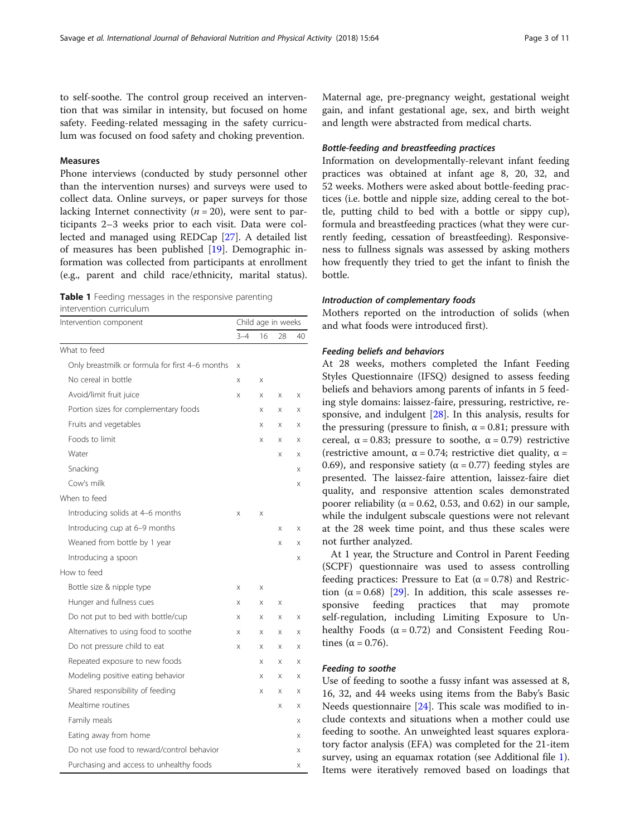<span id="page-2-0"></span>to self-soothe. The control group received an intervention that was similar in intensity, but focused on home safety. Feeding-related messaging in the safety curriculum was focused on food safety and choking prevention.

## Measures

Phone interviews (conducted by study personnel other than the intervention nurses) and surveys were used to collect data. Online surveys, or paper surveys for those lacking Internet connectivity  $(n = 20)$ , were sent to participants 2–3 weeks prior to each visit. Data were collected and managed using REDCap [[27](#page-10-0)]. A detailed list of measures has been published [[19\]](#page-9-0). Demographic information was collected from participants at enrollment (e.g., parent and child race/ethnicity, marital status).

| Table 1 Feeding messages in the responsive parenting |  |  |
|------------------------------------------------------|--|--|
| intervention curriculum                              |  |  |

| Intervention component                          |         | Child age in weeks |    |    |  |
|-------------------------------------------------|---------|--------------------|----|----|--|
|                                                 | $3 - 4$ | 16                 | 28 | 40 |  |
| What to feed                                    |         |                    |    |    |  |
| Only breastmilk or formula for first 4-6 months | X       |                    |    |    |  |
| No cereal in bottle                             | X       | X                  |    |    |  |
| Avoid/limit fruit juice                         | X       | X                  | X  | X  |  |
| Portion sizes for complementary foods           |         | X                  | X  | X  |  |
| Fruits and vegetables                           |         | X                  | X  | X  |  |
| Foods to limit                                  |         | X                  | X  | X  |  |
| Water                                           |         |                    | X  | X  |  |
| Snacking                                        |         |                    |    | X  |  |
| Cow's milk                                      |         |                    |    | X  |  |
| When to feed                                    |         |                    |    |    |  |
| Introducing solids at 4-6 months                | X       | X                  |    |    |  |
| Introducing cup at 6-9 months                   |         |                    | X  | X  |  |
| Weaned from bottle by 1 year                    |         |                    | X  | X  |  |
| Introducing a spoon                             |         |                    |    | X  |  |
| How to feed                                     |         |                    |    |    |  |
| Bottle size & nipple type                       | X       | X                  |    |    |  |
| Hunger and fullness cues                        | X       | X                  | X  |    |  |
| Do not put to bed with bottle/cup               | X       | Χ                  | X  | X  |  |
| Alternatives to using food to soothe            | X       | X                  | X  | X  |  |
| Do not pressure child to eat                    | X       | X                  | X  | X  |  |
| Repeated exposure to new foods                  |         | X                  | X  | X  |  |
| Modeling positive eating behavior               |         | X                  | X  | X  |  |
| Shared responsibility of feeding                |         | X                  | X  | X  |  |
| Mealtime routines                               |         |                    | X  | X  |  |
| Family meals                                    |         |                    |    | X  |  |
| Eating away from home                           |         |                    |    | X  |  |
| Do not use food to reward/control behavior      |         |                    |    | Χ  |  |
| Purchasing and access to unhealthy foods        |         |                    |    | X  |  |

Maternal age, pre-pregnancy weight, gestational weight gain, and infant gestational age, sex, and birth weight and length were abstracted from medical charts.

# Bottle-feeding and breastfeeding practices

Information on developmentally-relevant infant feeding practices was obtained at infant age 8, 20, 32, and 52 weeks. Mothers were asked about bottle-feeding practices (i.e. bottle and nipple size, adding cereal to the bottle, putting child to bed with a bottle or sippy cup), formula and breastfeeding practices (what they were currently feeding, cessation of breastfeeding). Responsiveness to fullness signals was assessed by asking mothers how frequently they tried to get the infant to finish the bottle.

## Introduction of complementary foods

Mothers reported on the introduction of solids (when and what foods were introduced first).

# Feeding beliefs and behaviors

At 28 weeks, mothers completed the Infant Feeding Styles Questionnaire (IFSQ) designed to assess feeding beliefs and behaviors among parents of infants in 5 feeding style domains: laissez-faire, pressuring, restrictive, responsive, and indulgent [[28](#page-10-0)]. In this analysis, results for the pressuring (pressure to finish,  $\alpha = 0.81$ ; pressure with cereal, α = 0.83; pressure to soothe, α = 0.79) restrictive (restrictive amount,  $\alpha = 0.74$ ; restrictive diet quality,  $\alpha =$ 0.69), and responsive satiety ( $\alpha$  = 0.77) feeding styles are presented. The laissez-faire attention, laissez-faire diet quality, and responsive attention scales demonstrated poorer reliability ( $α = 0.62$ , 0.53, and 0.62) in our sample, while the indulgent subscale questions were not relevant at the 28 week time point, and thus these scales were not further analyzed.

At 1 year, the Structure and Control in Parent Feeding (SCPF) questionnaire was used to assess controlling feeding practices: Pressure to Eat (α = 0.78) and Restriction ( $\alpha = 0.68$ ) [[29\]](#page-10-0). In addition, this scale assesses responsive feeding practices that may promote self-regulation, including Limiting Exposure to Unhealthy Foods ( $\alpha = 0.72$ ) and Consistent Feeding Routines ( $\alpha$  = 0.76).

# Feeding to soothe

Use of feeding to soothe a fussy infant was assessed at 8, 16, 32, and 44 weeks using items from the Baby's Basic Needs questionnaire [\[24\]](#page-10-0). This scale was modified to include contexts and situations when a mother could use feeding to soothe. An unweighted least squares exploratory factor analysis (EFA) was completed for the 21-item survey, using an equamax rotation (see Additional file [1](#page-9-0)). Items were iteratively removed based on loadings that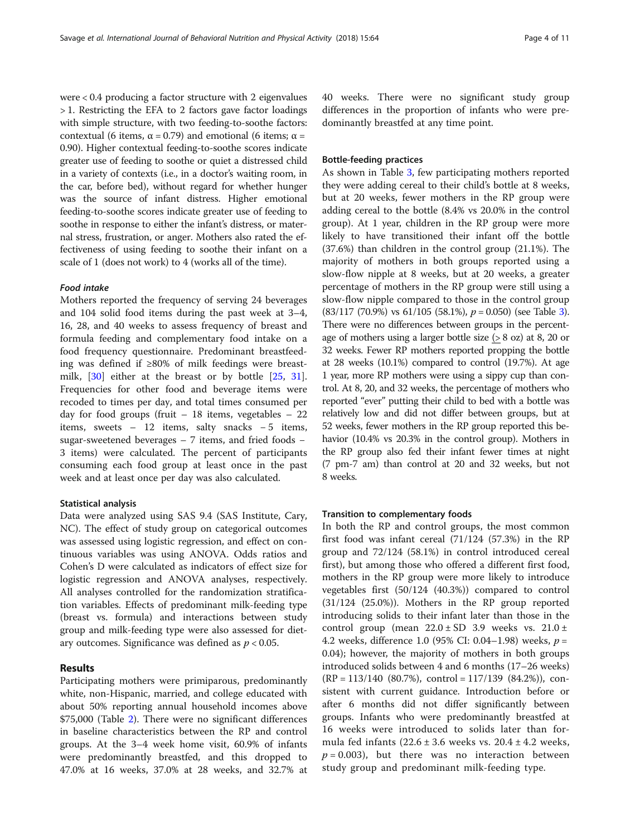were < 0.4 producing a factor structure with 2 eigenvalues > 1. Restricting the EFA to 2 factors gave factor loadings with simple structure, with two feeding-to-soothe factors: contextual (6 items,  $\alpha$  = 0.79) and emotional (6 items;  $\alpha$  = 0.90). Higher contextual feeding-to-soothe scores indicate greater use of feeding to soothe or quiet a distressed child in a variety of contexts (i.e., in a doctor's waiting room, in the car, before bed), without regard for whether hunger was the source of infant distress. Higher emotional feeding-to-soothe scores indicate greater use of feeding to soothe in response to either the infant's distress, or maternal stress, frustration, or anger. Mothers also rated the effectiveness of using feeding to soothe their infant on a scale of 1 (does not work) to 4 (works all of the time).

#### Food intake

Mothers reported the frequency of serving 24 beverages and 104 solid food items during the past week at 3–4, 16, 28, and 40 weeks to assess frequency of breast and formula feeding and complementary food intake on a food frequency questionnaire. Predominant breastfeeding was defined if ≥80% of milk feedings were breastmilk, [\[30\]](#page-10-0) either at the breast or by bottle [[25,](#page-10-0) [31](#page-10-0)]. Frequencies for other food and beverage items were recoded to times per day, and total times consumed per day for food groups (fruit  $-18$  items, vegetables  $-22$ items, sweets – 12 items, salty snacks − 5 items, sugar-sweetened beverages – 7 items, and fried foods − 3 items) were calculated. The percent of participants consuming each food group at least once in the past week and at least once per day was also calculated.

## Statistical analysis

Data were analyzed using SAS 9.4 (SAS Institute, Cary, NC). The effect of study group on categorical outcomes was assessed using logistic regression, and effect on continuous variables was using ANOVA. Odds ratios and Cohen's D were calculated as indicators of effect size for logistic regression and ANOVA analyses, respectively. All analyses controlled for the randomization stratification variables. Effects of predominant milk-feeding type (breast vs. formula) and interactions between study group and milk-feeding type were also assessed for dietary outcomes. Significance was defined as  $p < 0.05$ .

# Results

Participating mothers were primiparous, predominantly white, non-Hispanic, married, and college educated with about 50% reporting annual household incomes above \$75,000 (Table [2](#page-4-0)). There were no significant differences in baseline characteristics between the RP and control groups. At the 3–4 week home visit, 60.9% of infants were predominantly breastfed, and this dropped to 47.0% at 16 weeks, 37.0% at 28 weeks, and 32.7% at 40 weeks. There were no significant study group differences in the proportion of infants who were predominantly breastfed at any time point.

# Bottle-feeding practices

As shown in Table [3,](#page-5-0) few participating mothers reported they were adding cereal to their child's bottle at 8 weeks, but at 20 weeks, fewer mothers in the RP group were adding cereal to the bottle (8.4% vs 20.0% in the control group). At 1 year, children in the RP group were more likely to have transitioned their infant off the bottle (37.6%) than children in the control group (21.1%). The majority of mothers in both groups reported using a slow-flow nipple at 8 weeks, but at 20 weeks, a greater percentage of mothers in the RP group were still using a slow-flow nipple compared to those in the control group  $(83/117 \ (70.9%) \ vs \ 61/105 \ (58.1%).$  $(83/117 \ (70.9%) \ vs \ 61/105 \ (58.1%).$  $(83/117 \ (70.9%) \ vs \ 61/105 \ (58.1%).$   $p = 0.050$ ) (see Table 3). There were no differences between groups in the percentage of mothers using a larger bottle size  $(> 8 \text{ oz})$  at 8, 20 or 32 weeks. Fewer RP mothers reported propping the bottle at 28 weeks (10.1%) compared to control (19.7%). At age 1 year, more RP mothers were using a sippy cup than control. At 8, 20, and 32 weeks, the percentage of mothers who reported "ever" putting their child to bed with a bottle was relatively low and did not differ between groups, but at 52 weeks, fewer mothers in the RP group reported this behavior (10.4% vs 20.3% in the control group). Mothers in the RP group also fed their infant fewer times at night (7 pm-7 am) than control at 20 and 32 weeks, but not 8 weeks.

#### Transition to complementary foods

In both the RP and control groups, the most common first food was infant cereal (71/124 (57.3%) in the RP group and 72/124 (58.1%) in control introduced cereal first), but among those who offered a different first food, mothers in the RP group were more likely to introduce vegetables first (50/124 (40.3%)) compared to control (31/124 (25.0%)). Mothers in the RP group reported introducing solids to their infant later than those in the control group (mean  $22.0 \pm SD$  3.9 weeks vs.  $21.0 \pm$ 4.2 weeks, difference 1.0 (95% CI: 0.04–1.98) weeks,  $p =$ 0.04); however, the majority of mothers in both groups introduced solids between 4 and 6 months (17–26 weeks)  $(RP = 113/140 (80.7%)$ , control = 117/139 (84.2%)), consistent with current guidance. Introduction before or after 6 months did not differ significantly between groups. Infants who were predominantly breastfed at 16 weeks were introduced to solids later than formula fed infants  $(22.6 \pm 3.6$  weeks vs.  $20.4 \pm 4.2$  weeks,  $p = 0.003$ ), but there was no interaction between study group and predominant milk-feeding type.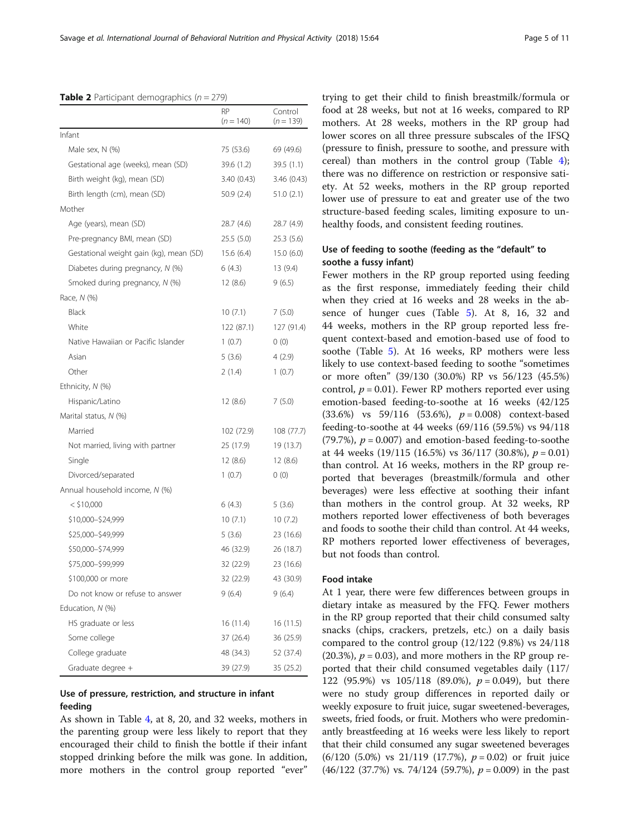## <span id="page-4-0"></span>**Table 2** Participant demographics  $(n = 279)$

|                                         | <b>RP</b><br>$(n = 140)$ | Control<br>$(n = 139)$ |
|-----------------------------------------|--------------------------|------------------------|
| Infant                                  |                          |                        |
| Male sex, N (%)                         | 75 (53.6)                | 69 (49.6)              |
| Gestational age (weeks), mean (SD)      | 39.6 (1.2)               | 39.5(1.1)              |
| Birth weight (kg), mean (SD)            | 3.40(0.43)               | 3.46(0.43)             |
| Birth length (cm), mean (SD)            | 50.9(2.4)                | 51.0(2.1)              |
| Mother                                  |                          |                        |
| Age (years), mean (SD)                  | 28.7 (4.6)               | 28.7 (4.9)             |
| Pre-pregnancy BMI, mean (SD)            | 25.5(5.0)                | 25.3(5.6)              |
| Gestational weight gain (kg), mean (SD) | 15.6(6.4)                | 15.0(6.0)              |
| Diabetes during pregnancy, N (%)        | 6(4.3)                   | 13 (9.4)               |
| Smoked during pregnancy, N (%)          | 12 (8.6)                 | 9(6.5)                 |
| Race, N (%)                             |                          |                        |
| Black                                   | 10(7.1)                  | 7(5.0)                 |
| White                                   | 122 (87.1)               | 127(91.4)              |
| Native Hawaiian or Pacific Islander     | 1(0.7)                   | 0(0)                   |
| Asian                                   | 5(3.6)                   | 4(2.9)                 |
| Other                                   | 2(1.4)                   | 1(0.7)                 |
| Ethnicity, N (%)                        |                          |                        |
| Hispanic/Latino                         | 12 (8.6)                 | 7(5.0)                 |
| Marital status, N (%)                   |                          |                        |
| Married                                 | 102 (72.9)               | 108(77.7)              |
| Not married, living with partner        | 25 (17.9)                | 19 (13.7)              |
| Single                                  | 12 (8.6)                 | 12(8.6)                |
| Divorced/separated                      | 1(0.7)                   | 0(0)                   |
| Annual household income, N (%)          |                          |                        |
| $<$ \$10,000                            | 6(4.3)                   | 5(3.6)                 |
| \$10,000-\$24,999                       | 10(7.1)                  | 10(7.2)                |
| \$25,000-\$49,999                       | 5(3.6)                   | 23 (16.6)              |
| \$50,000-\$74,999                       | 46 (32.9)                | 26 (18.7)              |
| \$75,000-\$99,999                       | 32 (22.9)                | 23 (16.6)              |
| \$100,000 or more                       | 32 (22.9)                | 43 (30.9)              |
| Do not know or refuse to answer         | 9 (6.4)                  | 9 (6.4)                |
| Education, N (%)                        |                          |                        |
| HS graduate or less                     | 16 (11.4)                | 16 (11.5)              |
| Some college                            | 37 (26.4)                | 36 (25.9)              |
| College graduate                        | 48 (34.3)                | 52 (37.4)              |
| Graduate degree +                       | 39 (27.9)                | 35 (25.2)              |

# Use of pressure, restriction, and structure in infant feeding

As shown in Table [4](#page-6-0), at 8, 20, and 32 weeks, mothers in the parenting group were less likely to report that they encouraged their child to finish the bottle if their infant stopped drinking before the milk was gone. In addition, more mothers in the control group reported "ever" trying to get their child to finish breastmilk/formula or food at 28 weeks, but not at 16 weeks, compared to RP mothers. At 28 weeks, mothers in the RP group had lower scores on all three pressure subscales of the IFSQ (pressure to finish, pressure to soothe, and pressure with cereal) than mothers in the control group (Table [4](#page-6-0)); there was no difference on restriction or responsive satiety. At 52 weeks, mothers in the RP group reported lower use of pressure to eat and greater use of the two structure-based feeding scales, limiting exposure to unhealthy foods, and consistent feeding routines.

# Use of feeding to soothe (feeding as the "default" to soothe a fussy infant)

Fewer mothers in the RP group reported using feeding as the first response, immediately feeding their child when they cried at 16 weeks and 28 weeks in the absence of hunger cues (Table [5\)](#page-7-0). At 8, 16, 32 and 44 weeks, mothers in the RP group reported less frequent context-based and emotion-based use of food to soothe (Table [5](#page-7-0)). At 16 weeks, RP mothers were less likely to use context-based feeding to soothe "sometimes or more often" (39/130 (30.0%) RP vs 56/123 (45.5%) control,  $p = 0.01$ ). Fewer RP mothers reported ever using emotion-based feeding-to-soothe at 16 weeks (42/125 (33.6%) vs 59/116 (53.6%),  $p = 0.008$ ) context-based feeding-to-soothe at 44 weeks (69/116 (59.5%) vs 94/118 (79.7%),  $p = 0.007$ ) and emotion-based feeding-to-soothe at 44 weeks  $(19/115 (16.5%)$  vs  $36/117 (30.8%)$ ,  $p = 0.01$ ) than control. At 16 weeks, mothers in the RP group reported that beverages (breastmilk/formula and other beverages) were less effective at soothing their infant than mothers in the control group. At 32 weeks, RP mothers reported lower effectiveness of both beverages and foods to soothe their child than control. At 44 weeks, RP mothers reported lower effectiveness of beverages, but not foods than control.

# Food intake

At 1 year, there were few differences between groups in dietary intake as measured by the FFQ. Fewer mothers in the RP group reported that their child consumed salty snacks (chips, crackers, pretzels, etc.) on a daily basis compared to the control group  $(12/122)$   $(9.8%)$  vs  $24/118$  $(20.3\%)$ ,  $p = 0.03$ ), and more mothers in the RP group reported that their child consumed vegetables daily (117/ 122 (95.9%) vs 105/118 (89.0%),  $p = 0.049$ ), but there were no study group differences in reported daily or weekly exposure to fruit juice, sugar sweetened-beverages, sweets, fried foods, or fruit. Mothers who were predominantly breastfeeding at 16 weeks were less likely to report that their child consumed any sugar sweetened beverages  $(6/120 (5.0%)$  vs 21/119 (17.7%),  $p = 0.02$ ) or fruit juice  $(46/122 \ (37.7%) \ vs. 74/124 \ (59.7%). p = 0.009)$  in the past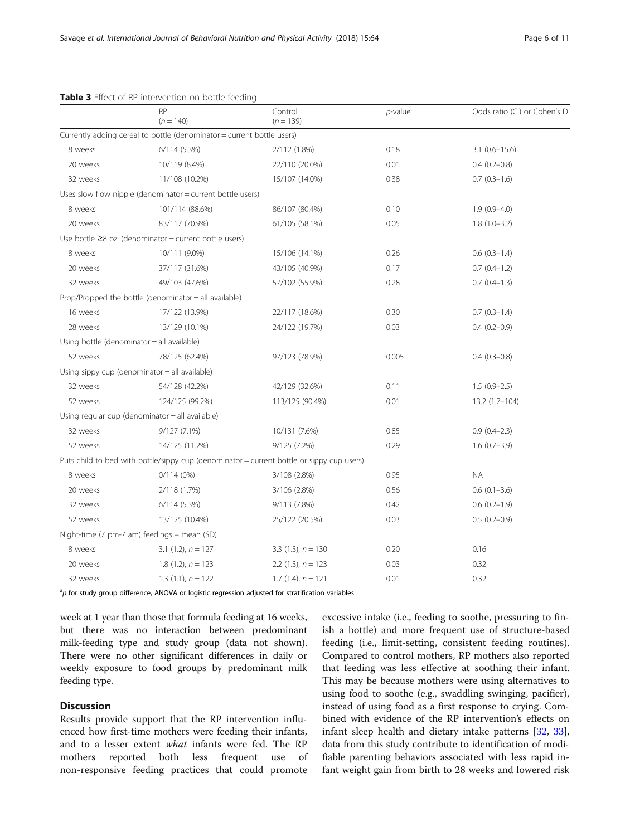|          | <b>RP</b><br>$(n = 140)$                                                                  | Control<br>$(n = 139)$  | $p$ -value <sup>a</sup> | Odds ratio (CI) or Cohen's D |
|----------|-------------------------------------------------------------------------------------------|-------------------------|-------------------------|------------------------------|
|          | Currently adding cereal to bottle (denominator = current bottle users)                    |                         |                         |                              |
| 8 weeks  | 6/114(5.3%)                                                                               | 2/112 (1.8%)            | 0.18                    | $3.1(0.6 - 15.6)$            |
| 20 weeks | 10/119 (8.4%)                                                                             | 22/110 (20.0%)          | 0.01                    | $0.4(0.2-0.8)$               |
| 32 weeks | 11/108 (10.2%)                                                                            | 15/107 (14.0%)          | 0.38                    | $0.7(0.3-1.6)$               |
|          | Uses slow flow nipple (denominator = current bottle users)                                |                         |                         |                              |
| 8 weeks  | 101/114 (88.6%)                                                                           | 86/107 (80.4%)          | 0.10                    | $1.9(0.9 - 4.0)$             |
| 20 weeks | 83/117 (70.9%)                                                                            | 61/105 (58.1%)          | 0.05                    | $1.8(1.0-3.2)$               |
|          | Use bottle $\geq$ 8 oz. (denominator = current bottle users)                              |                         |                         |                              |
| 8 weeks  | 10/111 (9.0%)                                                                             | 15/106 (14.1%)          | 0.26                    | $0.6(0.3-1.4)$               |
| 20 weeks | 37/117 (31.6%)                                                                            | 43/105 (40.9%)          | 0.17                    | $0.7(0.4-1.2)$               |
| 32 weeks | 49/103 (47.6%)                                                                            | 57/102 (55.9%)          | 0.28                    | $0.7(0.4-1.3)$               |
|          | Prop/Propped the bottle (denominator = all available)                                     |                         |                         |                              |
| 16 weeks | 17/122 (13.9%)                                                                            | 22/117 (18.6%)          | 0.30                    | $0.7(0.3-1.4)$               |
| 28 weeks | 13/129 (10.1%)                                                                            | 24/122 (19.7%)          | 0.03                    | $0.4(0.2-0.9)$               |
|          | Using bottle (denominator $=$ all available)                                              |                         |                         |                              |
| 52 weeks | 78/125 (62.4%)                                                                            | 97/123 (78.9%)          | 0.005                   | $0.4(0.3-0.8)$               |
|          | Using sippy cup (denominator = all available)                                             |                         |                         |                              |
| 32 weeks | 54/128 (42.2%)                                                                            | 42/129 (32.6%)          | 0.11                    | $1.5(0.9-2.5)$               |
| 52 weeks | 124/125 (99.2%)                                                                           | 113/125 (90.4%)         | 0.01                    | $13.2(1.7-104)$              |
|          | Using regular cup (denominator = all available)                                           |                         |                         |                              |
| 32 weeks | 9/127(7.1%)                                                                               | 10/131 (7.6%)           | 0.85                    | $0.9(0.4-2.3)$               |
| 52 weeks | 14/125 (11.2%)                                                                            | 9/125 (7.2%)            | 0.29                    | $1.6(0.7-3.9)$               |
|          | Puts child to bed with bottle/sippy cup (denominator = current bottle or sippy cup users) |                         |                         |                              |
| 8 weeks  | 0/114(0%)                                                                                 | 3/108 (2.8%)            | 0.95                    | <b>NA</b>                    |
| 20 weeks | 2/118 (1.7%)                                                                              | 3/106 (2.8%)            | 0.56                    | $0.6(0.1-3.6)$               |
| 32 weeks | 6/114(5.3%)                                                                               | 9/113 (7.8%)            | 0.42                    | $0.6(0.2-1.9)$               |
| 52 weeks | 13/125 (10.4%)                                                                            | 25/122 (20.5%)          | 0.03                    | $0.5(0.2-0.9)$               |
|          | Night-time (7 pm-7 am) feedings – mean (SD)                                               |                         |                         |                              |
| 8 weeks  | $3.1(1.2)$ , $n = 127$                                                                    | 3.3 $(1.3)$ , $n = 130$ | 0.20                    | 0.16                         |
| 20 weeks | $1.8(1.2)$ , $n = 123$                                                                    | 2.2 $(1.3)$ , $n = 123$ | 0.03                    | 0.32                         |
| 32 weeks | 1.3 $(1.1)$ , $n = 122$                                                                   | $1.7(1.4)$ , $n = 121$  | 0.01                    | 0.32                         |

# <span id="page-5-0"></span>Table 3 Effect of RP intervention on bottle feeding

 $^{\rm a}$ p for study group difference, ANOVA or logistic regression adjusted for stratification variables

week at 1 year than those that formula feeding at 16 weeks, but there was no interaction between predominant milk-feeding type and study group (data not shown). There were no other significant differences in daily or weekly exposure to food groups by predominant milk feeding type.

# **Discussion**

Results provide support that the RP intervention influenced how first-time mothers were feeding their infants, and to a lesser extent what infants were fed. The RP mothers reported both less frequent use of non-responsive feeding practices that could promote

excessive intake (i.e., feeding to soothe, pressuring to finish a bottle) and more frequent use of structure-based feeding (i.e., limit-setting, consistent feeding routines). Compared to control mothers, RP mothers also reported that feeding was less effective at soothing their infant. This may be because mothers were using alternatives to using food to soothe (e.g., swaddling swinging, pacifier), instead of using food as a first response to crying. Combined with evidence of the RP intervention's effects on infant sleep health and dietary intake patterns [\[32](#page-10-0), [33](#page-10-0)], data from this study contribute to identification of modifiable parenting behaviors associated with less rapid infant weight gain from birth to 28 weeks and lowered risk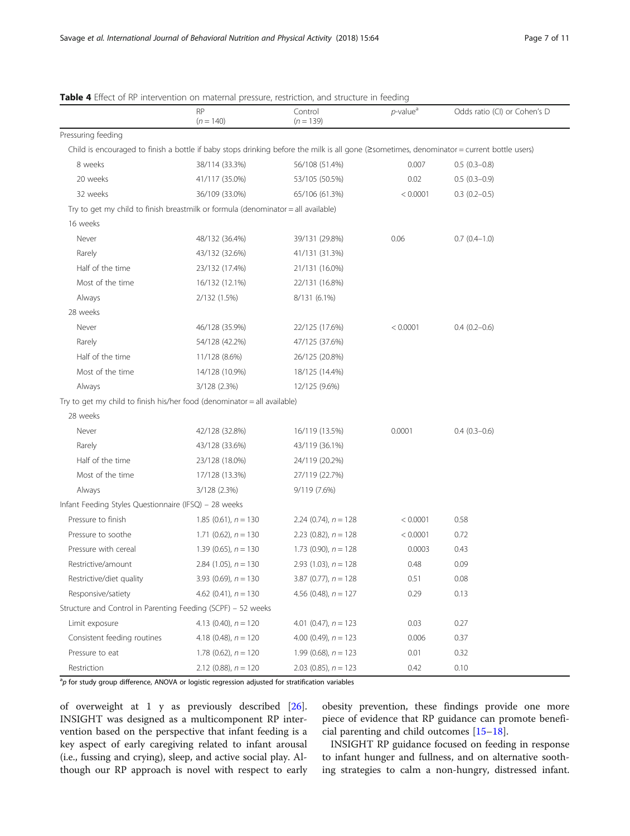|                                                                                                                                            | <b>T</b> LITCLE OF IN THICPYCHRON ON MIGRANTIC PRESSURE, RESURCTION, CHIC SUBCRUITE IN RECORD<br><b>RP</b><br>$(n = 140)$ | Control<br>$(n = 139)$ | $p$ -value <sup><math>d</math></sup> | Odds ratio (CI) or Cohen's D |
|--------------------------------------------------------------------------------------------------------------------------------------------|---------------------------------------------------------------------------------------------------------------------------|------------------------|--------------------------------------|------------------------------|
| Pressuring feeding                                                                                                                         |                                                                                                                           |                        |                                      |                              |
| Child is encouraged to finish a bottle if baby stops drinking before the milk is all gone (2sometimes, denominator = current bottle users) |                                                                                                                           |                        |                                      |                              |
| 8 weeks                                                                                                                                    | 38/114 (33.3%)                                                                                                            | 56/108 (51.4%)         | 0.007                                | $0.5(0.3-0.8)$               |
| 20 weeks                                                                                                                                   | 41/117 (35.0%)                                                                                                            | 53/105 (50.5%)         | 0.02                                 | $0.5(0.3-0.9)$               |
| 32 weeks                                                                                                                                   | 36/109 (33.0%)                                                                                                            | 65/106 (61.3%)         | < 0.0001                             | $0.3(0.2 - 0.5)$             |
| Try to get my child to finish breastmilk or formula (denominator = all available)                                                          |                                                                                                                           |                        |                                      |                              |
| 16 weeks                                                                                                                                   |                                                                                                                           |                        |                                      |                              |
| Never                                                                                                                                      | 48/132 (36.4%)                                                                                                            | 39/131 (29.8%)         | 0.06                                 | $0.7(0.4-1.0)$               |
| Rarely                                                                                                                                     | 43/132 (32.6%)                                                                                                            | 41/131 (31.3%)         |                                      |                              |
| Half of the time                                                                                                                           | 23/132 (17.4%)                                                                                                            | 21/131 (16.0%)         |                                      |                              |
| Most of the time                                                                                                                           | 16/132 (12.1%)                                                                                                            | 22/131 (16.8%)         |                                      |                              |
| Always                                                                                                                                     | 2/132 (1.5%)                                                                                                              | 8/131 (6.1%)           |                                      |                              |
| 28 weeks                                                                                                                                   |                                                                                                                           |                        |                                      |                              |
| Never                                                                                                                                      | 46/128 (35.9%)                                                                                                            | 22/125 (17.6%)         | < 0.0001                             | $0.4(0.2-0.6)$               |
| Rarely                                                                                                                                     | 54/128 (42.2%)                                                                                                            | 47/125 (37.6%)         |                                      |                              |
| Half of the time                                                                                                                           | 11/128 (8.6%)                                                                                                             | 26/125 (20.8%)         |                                      |                              |
| Most of the time                                                                                                                           | 14/128 (10.9%)                                                                                                            | 18/125 (14.4%)         |                                      |                              |
| Always                                                                                                                                     | 3/128 (2.3%)                                                                                                              | 12/125 (9.6%)          |                                      |                              |
| Try to get my child to finish his/her food (denominator = all available)                                                                   |                                                                                                                           |                        |                                      |                              |
| 28 weeks                                                                                                                                   |                                                                                                                           |                        |                                      |                              |
| Never                                                                                                                                      | 42/128 (32.8%)                                                                                                            | 16/119 (13.5%)         | 0.0001                               | $0.4(0.3-0.6)$               |
| Rarely                                                                                                                                     | 43/128 (33.6%)                                                                                                            | 43/119 (36.1%)         |                                      |                              |
| Half of the time                                                                                                                           | 23/128 (18.0%)                                                                                                            | 24/119 (20.2%)         |                                      |                              |
| Most of the time                                                                                                                           | 17/128 (13.3%)                                                                                                            | 27/119 (22.7%)         |                                      |                              |
| Always                                                                                                                                     | 3/128 (2.3%)                                                                                                              | 9/119 (7.6%)           |                                      |                              |
| Infant Feeding Styles Questionnaire (IFSQ) - 28 weeks                                                                                      |                                                                                                                           |                        |                                      |                              |
| Pressure to finish                                                                                                                         | 1.85 (0.61), $n = 130$                                                                                                    | 2.24 (0.74), $n = 128$ | < 0.0001                             | 0.58                         |
| Pressure to soothe                                                                                                                         | 1.71 (0.62), $n = 130$                                                                                                    | 2.23 (0.82), $n = 128$ | < 0.0001                             | 0.72                         |
| Pressure with cereal                                                                                                                       | 1.39 (0.65), $n = 130$                                                                                                    | 1.73 (0.90), $n = 128$ | 0.0003                               | 0.43                         |
| Restrictive/amount                                                                                                                         | 2.84 $(1.05)$ , $n = 130$                                                                                                 | 2.93 (1.03), $n = 128$ | 0.48                                 | 0.09                         |
| Restrictive/diet quality                                                                                                                   | 3.93 (0.69), $n = 130$                                                                                                    | 3.87 (0.77), $n = 128$ | 0.51                                 | 0.08                         |
| Responsive/satiety                                                                                                                         | 4.62 (0.41), $n = 130$                                                                                                    | 4.56 (0.48), $n = 127$ | 0.29                                 | 0.13                         |
| Structure and Control in Parenting Feeding (SCPF) - 52 weeks                                                                               |                                                                                                                           |                        |                                      |                              |
| Limit exposure                                                                                                                             | 4.13 (0.40), $n = 120$                                                                                                    | 4.01 (0.47), $n = 123$ | 0.03                                 | 0.27                         |
| Consistent feeding routines                                                                                                                | 4.18 (0.48), $n = 120$                                                                                                    | 4.00 (0.49), $n = 123$ | 0.006                                | 0.37                         |
| Pressure to eat                                                                                                                            | 1.78 (0.62), $n = 120$                                                                                                    | 1.99 (0.68), $n = 123$ | 0.01                                 | 0.32                         |
| Restriction                                                                                                                                | 2.12 (0.88), $n = 120$                                                                                                    | 2.03 (0.85), $n = 123$ | 0.42                                 | 0.10                         |

<span id="page-6-0"></span>Table 4 Effect of RP intervention on maternal pressure, restriction, and structure in feeding

 $^{\rm a}$ p for study group difference, ANOVA or logistic regression adjusted for stratification variables

of overweight at 1 y as previously described [\[26](#page-10-0)]. INSIGHT was designed as a multicomponent RP intervention based on the perspective that infant feeding is a key aspect of early caregiving related to infant arousal (i.e., fussing and crying), sleep, and active social play. Although our RP approach is novel with respect to early obesity prevention, these findings provide one more piece of evidence that RP guidance can promote beneficial parenting and child outcomes [\[15](#page-9-0)–[18\]](#page-9-0).

INSIGHT RP guidance focused on feeding in response to infant hunger and fullness, and on alternative soothing strategies to calm a non-hungry, distressed infant.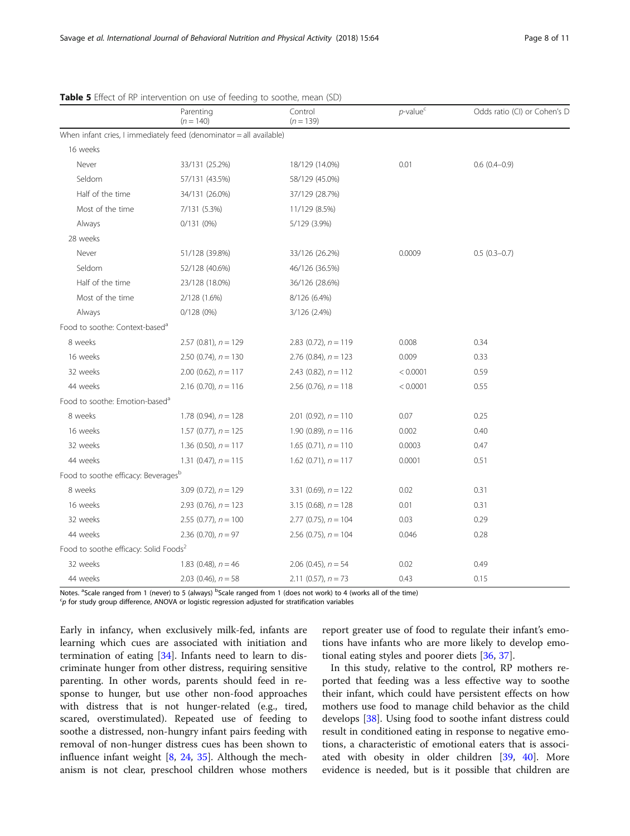|                                                   | Parenting<br>$(n = 140)$                                            | Control<br>$(n = 139)$   | $p$ -value <sup>c</sup> | Odds ratio (CI) or Cohen's D |
|---------------------------------------------------|---------------------------------------------------------------------|--------------------------|-------------------------|------------------------------|
|                                                   | When infant cries, I immediately feed (denominator = all available) |                          |                         |                              |
| 16 weeks                                          |                                                                     |                          |                         |                              |
| Never                                             | 33/131 (25.2%)                                                      | 18/129 (14.0%)           | 0.01                    | $0.6(0.4-0.9)$               |
| Seldom                                            | 57/131 (43.5%)                                                      | 58/129 (45.0%)           |                         |                              |
| Half of the time                                  | 34/131 (26.0%)                                                      | 37/129 (28.7%)           |                         |                              |
| Most of the time                                  | 7/131 (5.3%)                                                        | 11/129 (8.5%)            |                         |                              |
| Always                                            | 0/131(0%)                                                           | 5/129 (3.9%)             |                         |                              |
| 28 weeks                                          |                                                                     |                          |                         |                              |
| Never                                             | 51/128 (39.8%)                                                      | 33/126 (26.2%)           | 0.0009                  | $0.5(0.3-0.7)$               |
| Seldom                                            | 52/128 (40.6%)                                                      | 46/126 (36.5%)           |                         |                              |
| Half of the time                                  | 23/128 (18.0%)                                                      | 36/126 (28.6%)           |                         |                              |
| Most of the time                                  | 2/128 (1.6%)                                                        | 8/126 (6.4%)             |                         |                              |
| Always                                            | 0/128 (0%)                                                          | 3/126 (2.4%)             |                         |                              |
| Food to soothe: Context-based <sup>a</sup>        |                                                                     |                          |                         |                              |
| 8 weeks                                           | 2.57 (0.81), $n = 129$                                              | 2.83 (0.72), $n = 119$   | 0.008                   | 0.34                         |
| 16 weeks                                          | 2.50 (0.74), $n = 130$                                              | $2.76$ (0.84), $n = 123$ | 0.009                   | 0.33                         |
| 32 weeks                                          | 2.00 (0.62), $n = 117$                                              | 2.43 (0.82), $n = 112$   | < 0.0001                | 0.59                         |
| 44 weeks                                          | 2.16 (0.70), $n = 116$                                              | 2.56 (0.76), $n = 118$   | < 0.0001                | 0.55                         |
| Food to soothe: Emotion-based <sup>a</sup>        |                                                                     |                          |                         |                              |
| 8 weeks                                           | 1.78 (0.94), $n = 128$                                              | 2.01 (0.92), $n = 110$   | 0.07                    | 0.25                         |
| 16 weeks                                          | $1.57$ (0.77), $n = 125$                                            | 1.90 (0.89), $n = 116$   | 0.002                   | 0.40                         |
| 32 weeks                                          | 1.36 (0.50), $n = 117$                                              | 1.65 (0.71), $n = 110$   | 0.0003                  | 0.47                         |
| 44 weeks                                          | 1.31 (0.47), $n = 115$                                              | 1.62 (0.71), $n = 117$   | 0.0001                  | 0.51                         |
| Food to soothe efficacy: Beverages <sup>b</sup>   |                                                                     |                          |                         |                              |
| 8 weeks                                           | 3.09 (0.72), $n = 129$                                              | 3.31 (0.69), $n = 122$   | 0.02                    | 0.31                         |
| 16 weeks                                          | 2.93 (0.76), $n = 123$                                              | 3.15 (0.68), $n = 128$   | 0.01                    | 0.31                         |
| 32 weeks                                          | 2.55 (0.77), $n = 100$                                              | $2.77$ (0.75), $n = 104$ | 0.03                    | 0.29                         |
| 44 weeks                                          | 2.36 (0.70), $n = 97$                                               | 2.56 (0.75), $n = 104$   | 0.046                   | 0.28                         |
| Food to soothe efficacy: Solid Foods <sup>2</sup> |                                                                     |                          |                         |                              |
| 32 weeks                                          | 1.83 $(0.48)$ , $n = 46$                                            | 2.06 (0.45), $n = 54$    | 0.02                    | 0.49                         |
| 44 weeks                                          | 2.03 (0.46), $n = 58$                                               | $2.11$ (0.57), $n = 73$  | 0.43                    | 0.15                         |

<span id="page-7-0"></span>Table 5 Effect of RP intervention on use of feeding to soothe, mean (SD)

Notes. <sup>a</sup>Scale ranged from 1 (never) to 5 (always) <sup>b</sup>Scale ranged from 1 (does not work) to 4 (works all of the time)<br>Sn for study group difference, ANOVA or logistic regression adjusted for stratification variables

 $c<sub>p</sub>$  for study group difference, ANOVA or logistic regression adjusted for stratification variables

Early in infancy, when exclusively milk-fed, infants are learning which cues are associated with initiation and termination of eating [\[34\]](#page-10-0). Infants need to learn to discriminate hunger from other distress, requiring sensitive parenting. In other words, parents should feed in response to hunger, but use other non-food approaches with distress that is not hunger-related (e.g., tired, scared, overstimulated). Repeated use of feeding to soothe a distressed, non-hungry infant pairs feeding with removal of non-hunger distress cues has been shown to influence infant weight [[8,](#page-9-0) [24](#page-10-0), [35](#page-10-0)]. Although the mechanism is not clear, preschool children whose mothers report greater use of food to regulate their infant's emotions have infants who are more likely to develop emotional eating styles and poorer diets [[36,](#page-10-0) [37\]](#page-10-0).

In this study, relative to the control, RP mothers reported that feeding was a less effective way to soothe their infant, which could have persistent effects on how mothers use food to manage child behavior as the child develops [\[38](#page-10-0)]. Using food to soothe infant distress could result in conditioned eating in response to negative emotions, a characteristic of emotional eaters that is associ-ated with obesity in older children [\[39](#page-10-0), [40](#page-10-0)]. More evidence is needed, but is it possible that children are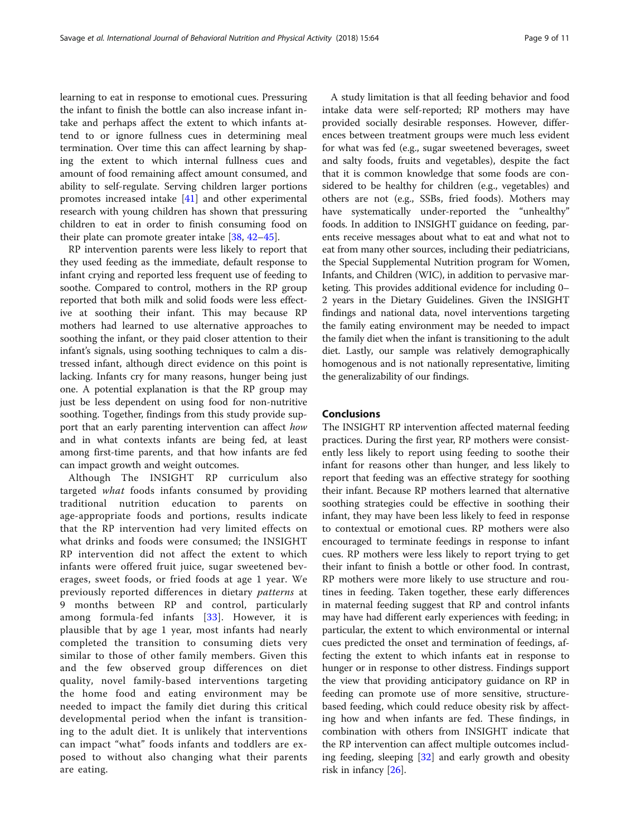learning to eat in response to emotional cues. Pressuring the infant to finish the bottle can also increase infant intake and perhaps affect the extent to which infants attend to or ignore fullness cues in determining meal termination. Over time this can affect learning by shaping the extent to which internal fullness cues and amount of food remaining affect amount consumed, and ability to self-regulate. Serving children larger portions promotes increased intake [[41](#page-10-0)] and other experimental research with young children has shown that pressuring children to eat in order to finish consuming food on their plate can promote greater intake [[38,](#page-10-0) [42](#page-10-0)–[45](#page-10-0)].

RP intervention parents were less likely to report that they used feeding as the immediate, default response to infant crying and reported less frequent use of feeding to soothe. Compared to control, mothers in the RP group reported that both milk and solid foods were less effective at soothing their infant. This may because RP mothers had learned to use alternative approaches to soothing the infant, or they paid closer attention to their infant's signals, using soothing techniques to calm a distressed infant, although direct evidence on this point is lacking. Infants cry for many reasons, hunger being just one. A potential explanation is that the RP group may just be less dependent on using food for non-nutritive soothing. Together, findings from this study provide support that an early parenting intervention can affect how and in what contexts infants are being fed, at least among first-time parents, and that how infants are fed can impact growth and weight outcomes.

Although The INSIGHT RP curriculum also targeted what foods infants consumed by providing traditional nutrition education to parents on age-appropriate foods and portions, results indicate that the RP intervention had very limited effects on what drinks and foods were consumed; the INSIGHT RP intervention did not affect the extent to which infants were offered fruit juice, sugar sweetened beverages, sweet foods, or fried foods at age 1 year. We previously reported differences in dietary patterns at 9 months between RP and control, particularly among formula-fed infants [[33\]](#page-10-0). However, it is plausible that by age 1 year, most infants had nearly completed the transition to consuming diets very similar to those of other family members. Given this and the few observed group differences on diet quality, novel family-based interventions targeting the home food and eating environment may be needed to impact the family diet during this critical developmental period when the infant is transitioning to the adult diet. It is unlikely that interventions can impact "what" foods infants and toddlers are exposed to without also changing what their parents are eating.

A study limitation is that all feeding behavior and food intake data were self-reported; RP mothers may have provided socially desirable responses. However, differences between treatment groups were much less evident for what was fed (e.g., sugar sweetened beverages, sweet and salty foods, fruits and vegetables), despite the fact that it is common knowledge that some foods are considered to be healthy for children (e.g., vegetables) and others are not (e.g., SSBs, fried foods). Mothers may have systematically under-reported the "unhealthy" foods. In addition to INSIGHT guidance on feeding, parents receive messages about what to eat and what not to eat from many other sources, including their pediatricians, the Special Supplemental Nutrition program for Women, Infants, and Children (WIC), in addition to pervasive marketing. This provides additional evidence for including 0– 2 years in the Dietary Guidelines. Given the INSIGHT findings and national data, novel interventions targeting the family eating environment may be needed to impact the family diet when the infant is transitioning to the adult diet. Lastly, our sample was relatively demographically homogenous and is not nationally representative, limiting the generalizability of our findings.

# Conclusions

The INSIGHT RP intervention affected maternal feeding practices. During the first year, RP mothers were consistently less likely to report using feeding to soothe their infant for reasons other than hunger, and less likely to report that feeding was an effective strategy for soothing their infant. Because RP mothers learned that alternative soothing strategies could be effective in soothing their infant, they may have been less likely to feed in response to contextual or emotional cues. RP mothers were also encouraged to terminate feedings in response to infant cues. RP mothers were less likely to report trying to get their infant to finish a bottle or other food. In contrast, RP mothers were more likely to use structure and routines in feeding. Taken together, these early differences in maternal feeding suggest that RP and control infants may have had different early experiences with feeding; in particular, the extent to which environmental or internal cues predicted the onset and termination of feedings, affecting the extent to which infants eat in response to hunger or in response to other distress. Findings support the view that providing anticipatory guidance on RP in feeding can promote use of more sensitive, structurebased feeding, which could reduce obesity risk by affecting how and when infants are fed. These findings, in combination with others from INSIGHT indicate that the RP intervention can affect multiple outcomes including feeding, sleeping [\[32\]](#page-10-0) and early growth and obesity risk in infancy [\[26\]](#page-10-0).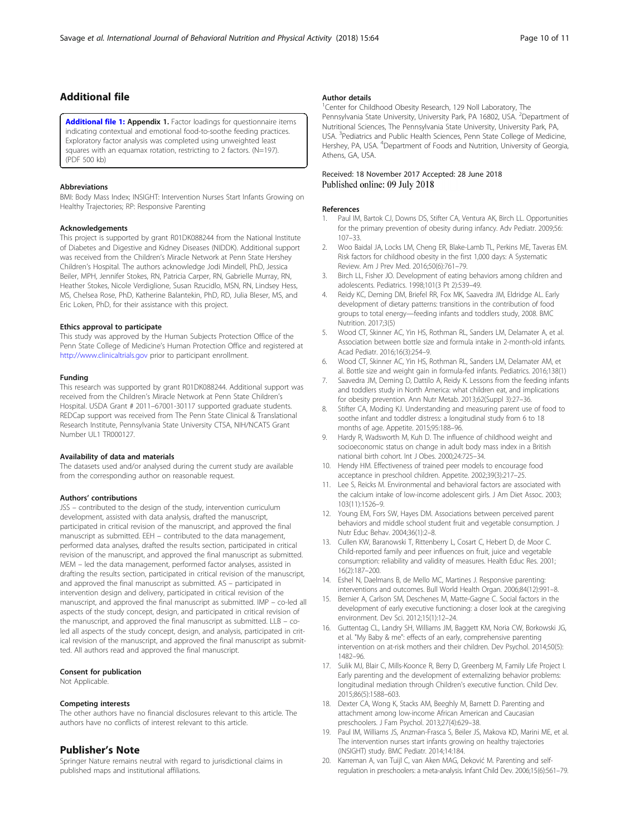# <span id="page-9-0"></span>Additional file

[Additional file 1:](https://doi.org/10.1186/s12966-018-0700-6) Appendix 1. Factor loadings for questionnaire items indicating contextual and emotional food-to-soothe feeding practices. Exploratory factor analysis was completed using unweighted least squares with an equamax rotation, restricting to 2 factors. (N=197). (PDF 500 kb)

#### Abbreviations

BMI: Body Mass Index; INSIGHT: Intervention Nurses Start Infants Growing on Healthy Trajectories; RP: Responsive Parenting

#### Acknowledgements

This project is supported by grant R01DK088244 from the National Institute of Diabetes and Digestive and Kidney Diseases (NIDDK). Additional support was received from the Children's Miracle Network at Penn State Hershey Children's Hospital. The authors acknowledge Jodi Mindell, PhD, Jessica Beiler, MPH, Jennifer Stokes, RN, Patricia Carper, RN, Gabrielle Murray, RN, Heather Stokes, Nicole Verdiglione, Susan Rzucidlo, MSN, RN, Lindsey Hess, MS, Chelsea Rose, PhD, Katherine Balantekin, PhD, RD, Julia Bleser, MS, and Eric Loken, PhD, for their assistance with this project.

#### Ethics approval to participate

This study was approved by the Human Subjects Protection Office of the Penn State College of Medicine's Human Protection Office and registered at <http://www.clinicaltrials.gov> prior to participant enrollment.

#### Funding

This research was supported by grant R01DK088244. Additional support was received from the Children's Miracle Network at Penn State Children's Hospital. USDA Grant # 2011–67001-30117 supported graduate students. REDCap support was received from The Penn State Clinical & Translational Research Institute, Pennsylvania State University CTSA, NIH/NCATS Grant Number UL1 TR000127.

#### Availability of data and materials

The datasets used and/or analysed during the current study are available from the corresponding author on reasonable request.

#### Authors' contributions

JSS – contributed to the design of the study, intervention curriculum development, assisted with data analysis, drafted the manuscript, participated in critical revision of the manuscript, and approved the final manuscript as submitted. EEH – contributed to the data management, performed data analyses, drafted the results section, participated in critical revision of the manuscript, and approved the final manuscript as submitted. MEM – led the data management, performed factor analyses, assisted in drafting the results section, participated in critical revision of the manuscript, and approved the final manuscript as submitted. AS – participated in intervention design and delivery, participated in critical revision of the manuscript, and approved the final manuscript as submitted. IMP – co-led all aspects of the study concept, design, and participated in critical revision of the manuscript, and approved the final manuscript as submitted. LLB – coled all aspects of the study concept, design, and analysis, participated in critical revision of the manuscript, and approved the final manuscript as submitted. All authors read and approved the final manuscript.

#### Consent for publication

Not Applicable.

#### Competing interests

The other authors have no financial disclosures relevant to this article. The authors have no conflicts of interest relevant to this article.

#### Publisher's Note

Springer Nature remains neutral with regard to jurisdictional claims in published maps and institutional affiliations.

#### Author details

<sup>1</sup> Center for Childhood Obesity Research, 129 Noll Laboratory, The Pennsylvania State University, University Park, PA 16802, USA. <sup>2</sup>Department of Nutritional Sciences, The Pennsylvania State University, University Park, PA, USA. <sup>3</sup>Pediatrics and Public Health Sciences, Penn State College of Medicine, Hershey, PA, USA. <sup>4</sup>Department of Foods and Nutrition, University of Georgia, Athens, GA, USA.

#### Received: 18 November 2017 Accepted: 28 June 2018 Published online: 09 July 2018

#### References

- 1. Paul IM, Bartok CJ, Downs DS, Stifter CA, Ventura AK, Birch LL. Opportunities for the primary prevention of obesity during infancy. Adv Pediatr. 2009;56: 107–33.
- 2. Woo Baidal JA, Locks LM, Cheng ER, Blake-Lamb TL, Perkins ME, Taveras EM. Risk factors for childhood obesity in the first 1,000 days: A Systematic Review. Am J Prev Med. 2016;50(6):761–79.
- Birch LL, Fisher JO. Development of eating behaviors among children and adolescents. Pediatrics. 1998;101(3 Pt 2):539–49.
- Reidy KC, Deming DM, Briefel RR, Fox MK, Saavedra JM, Eldridge AL. Early development of dietary patterns: transitions in the contribution of food groups to total energy—feeding infants and toddlers study, 2008. BMC Nutrition. 2017;3(5)
- 5. Wood CT, Skinner AC, Yin HS, Rothman RL, Sanders LM, Delamater A, et al. Association between bottle size and formula intake in 2-month-old infants. Acad Pediatr. 2016;16(3):254–9.
- 6. Wood CT, Skinner AC, Yin HS, Rothman RL, Sanders LM, Delamater AM, et al. Bottle size and weight gain in formula-fed infants. Pediatrics. 2016;138(1)
- 7. Saavedra JM, Deming D, Dattilo A, Reidy K. Lessons from the feeding infants and toddlers study in North America: what children eat, and implications for obesity prevention. Ann Nutr Metab. 2013;62(Suppl 3):27–36.
- 8. Stifter CA, Moding KJ. Understanding and measuring parent use of food to soothe infant and toddler distress: a longitudinal study from 6 to 18 months of age. Appetite. 2015;95:188–96.
- 9. Hardy R, Wadsworth M, Kuh D. The influence of childhood weight and socioeconomic status on change in adult body mass index in a British national birth cohort. Int J Obes. 2000;24:725–34.
- 10. Hendy HM. Effectiveness of trained peer models to encourage food acceptance in preschool children. Appetite. 2002;39(3):217–25.
- 11. Lee S, Reicks M. Environmental and behavioral factors are associated with the calcium intake of low-income adolescent girls. J Am Diet Assoc. 2003; 103(11):1526–9.
- 12. Young EM, Fors SW, Hayes DM. Associations between perceived parent behaviors and middle school student fruit and vegetable consumption. J Nutr Educ Behav. 2004;36(1):2–8.
- 13. Cullen KW, Baranowski T, Rittenberry L, Cosart C, Hebert D, de Moor C. Child-reported family and peer influences on fruit, juice and vegetable consumption: reliability and validity of measures. Health Educ Res. 2001; 16(2):187–200.
- 14. Eshel N, Daelmans B, de Mello MC, Martines J. Responsive parenting: interventions and outcomes. Bull World Health Organ. 2006;84(12):991–8.
- 15. Bernier A, Carlson SM, Deschenes M, Matte-Gagne C. Social factors in the development of early executive functioning: a closer look at the caregiving environment. Dev Sci. 2012;15(1):12–24.
- 16. Guttentag CL, Landry SH, Williams JM, Baggett KM, Noria CW, Borkowski JG, et al. "My Baby & me": effects of an early, comprehensive parenting intervention on at-risk mothers and their children. Dev Psychol. 2014;50(5): 1482–96.
- 17. Sulik MJ, Blair C, Mills-Koonce R, Berry D, Greenberg M, Family Life Project I. Early parenting and the development of externalizing behavior problems: longitudinal mediation through Children's executive function. Child Dev. 2015;86(5):1588–603.
- 18. Dexter CA, Wong K, Stacks AM, Beeghly M, Barnett D. Parenting and attachment among low-income African American and Caucasian preschoolers. J Fam Psychol. 2013;27(4):629–38.
- 19. Paul IM, Williams JS, Anzman-Frasca S, Beiler JS, Makova KD, Marini ME, et al. The intervention nurses start infants growing on healthy trajectories (INSIGHT) study. BMC Pediatr. 2014;14:184.
- 20. Karreman A, van Tuijl C, van Aken MAG, Deković M. Parenting and selfregulation in preschoolers: a meta-analysis. Infant Child Dev. 2006;15(6):561–79.